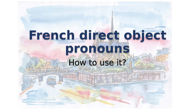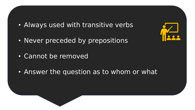- Always used with transitive verbs
- Never preceded by prepositions
- Cannot be removed
- Answer the question as to whom or what

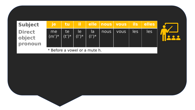| <b>Subject</b>                     | lie.           | /tu             |                 |                |      | il elle nous vous lis elles |     |     |  |
|------------------------------------|----------------|-----------------|-----------------|----------------|------|-----------------------------|-----|-----|--|
| <b>Direct</b><br>object<br>pronoun | me<br>$(m')^*$ | re!<br>$(t')^*$ | le.<br>$( ')^*$ | la<br>$( ')^*$ | nous | <b>VOUS</b>                 | les | les |  |
| * Before a vowel or a mute h.      |                |                 |                 |                |      |                             |     |     |  |

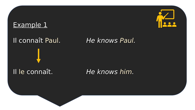## Example 1



Il le connaît. *He knows him.*

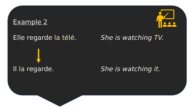### Example 2



# Elle regarde la télé. *She is watching TV.*

## Il la regarde. *She is watching it.*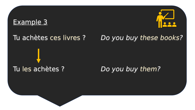### Example 3



## Tu achètes ces livres ? *Do you buy these books?*

# Tu les achètes ? *Do you buy them?*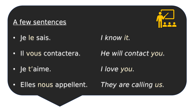## A few sentences



- Je le sais. *I know it.*
- Il vous contactera. *He will contact you.*

• Je t'aime. *I love you.*

• Elles nous appellent. *They are calling us.*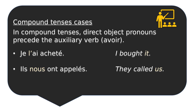## Compound tenses cases



In compound tenses, direct object pronouns precede the auxiliary verb (avoir).

• Je l'ai acheté. *I bought it.*

• Ils nous ont appelés. *They called us.*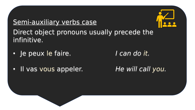## Semi-auxiliary verbs case



Direct object pronouns usually precede the infinitive.

• Je peux le faire. *I can do it.*

• Il vas vous appeler. *He will call you.*